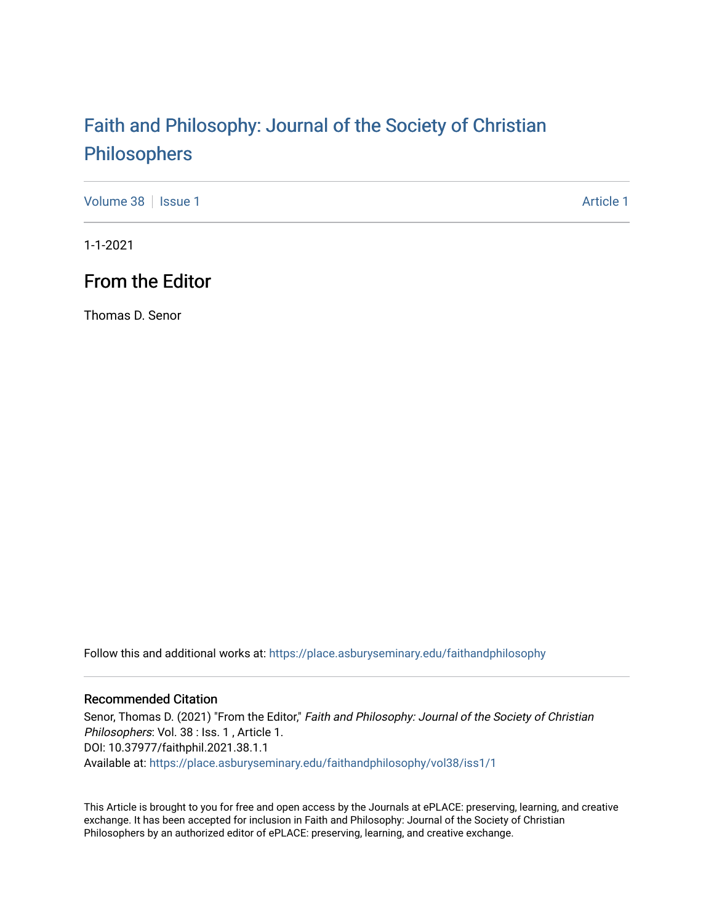# [Faith and Philosophy: Journal of the Society of Christian](https://place.asburyseminary.edu/faithandphilosophy)  [Philosophers](https://place.asburyseminary.edu/faithandphilosophy)

[Volume 38](https://place.asburyseminary.edu/faithandphilosophy/vol38) | [Issue 1](https://place.asburyseminary.edu/faithandphilosophy/vol38/iss1) [Article 1](https://place.asburyseminary.edu/faithandphilosophy/vol38/iss1/1) Article 1 Article 1 Article 1 Article 1 Article 1 Article 1 Article 1

1-1-2021

## From the Editor

Thomas D. Senor

Follow this and additional works at: [https://place.asburyseminary.edu/faithandphilosophy](https://place.asburyseminary.edu/faithandphilosophy?utm_source=place.asburyseminary.edu%2Ffaithandphilosophy%2Fvol38%2Fiss1%2F1&utm_medium=PDF&utm_campaign=PDFCoverPages)

#### Recommended Citation

Senor, Thomas D. (2021) "From the Editor," Faith and Philosophy: Journal of the Society of Christian Philosophers: Vol. 38 : Iss. 1, Article 1. DOI: 10.37977/faithphil.2021.38.1.1 Available at: [https://place.asburyseminary.edu/faithandphilosophy/vol38/iss1/1](https://place.asburyseminary.edu/faithandphilosophy/vol38/iss1/1?utm_source=place.asburyseminary.edu%2Ffaithandphilosophy%2Fvol38%2Fiss1%2F1&utm_medium=PDF&utm_campaign=PDFCoverPages)

This Article is brought to you for free and open access by the Journals at ePLACE: preserving, learning, and creative exchange. It has been accepted for inclusion in Faith and Philosophy: Journal of the Society of Christian Philosophers by an authorized editor of ePLACE: preserving, learning, and creative exchange.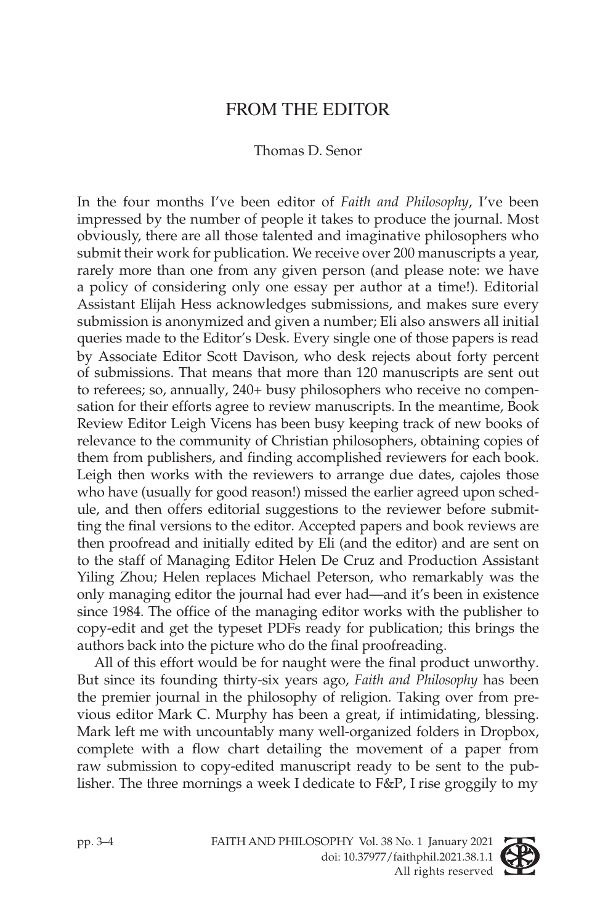### FROM THE EDITOR

#### Thomas D. Senor

In the four months I've been editor of *Faith and Philosophy*, I've been impressed by the number of people it takes to produce the journal. Most obviously, there are all those talented and imaginative philosophers who submit their work for publication. We receive over 200 manuscripts a year, rarely more than one from any given person (and please note: we have a policy of considering only one essay per author at a time!). Editorial Assistant Elijah Hess acknowledges submissions, and makes sure every submission is anonymized and given a number; Eli also answers all initial queries made to the Editor's Desk. Every single one of those papers is read by Associate Editor Scott Davison, who desk rejects about forty percent of submissions. That means that more than 120 manuscripts are sent out to referees; so, annually, 240+ busy philosophers who receive no compensation for their efforts agree to review manuscripts. In the meantime, Book Review Editor Leigh Vicens has been busy keeping track of new books of relevance to the community of Christian philosophers, obtaining copies of them from publishers, and finding accomplished reviewers for each book. Leigh then works with the reviewers to arrange due dates, cajoles those who have (usually for good reason!) missed the earlier agreed upon schedule, and then offers editorial suggestions to the reviewer before submitting the final versions to the editor. Accepted papers and book reviews are then proofread and initially edited by Eli (and the editor) and are sent on to the staff of Managing Editor Helen De Cruz and Production Assistant Yiling Zhou; Helen replaces Michael Peterson, who remarkably was the only managing editor the journal had ever had—and it's been in existence since 1984. The office of the managing editor works with the publisher to copy-edit and get the typeset PDFs ready for publication; this brings the authors back into the picture who do the final proofreading.

All of this effort would be for naught were the final product unworthy. But since its founding thirty-six years ago, *Faith and Philosophy* has been the premier journal in the philosophy of religion. Taking over from previous editor Mark C. Murphy has been a great, if intimidating, blessing. Mark left me with uncountably many well-organized folders in Dropbox, complete with a flow chart detailing the movement of a paper from raw submission to copy-edited manuscript ready to be sent to the publisher. The three mornings a week I dedicate to F&P, I rise groggily to my